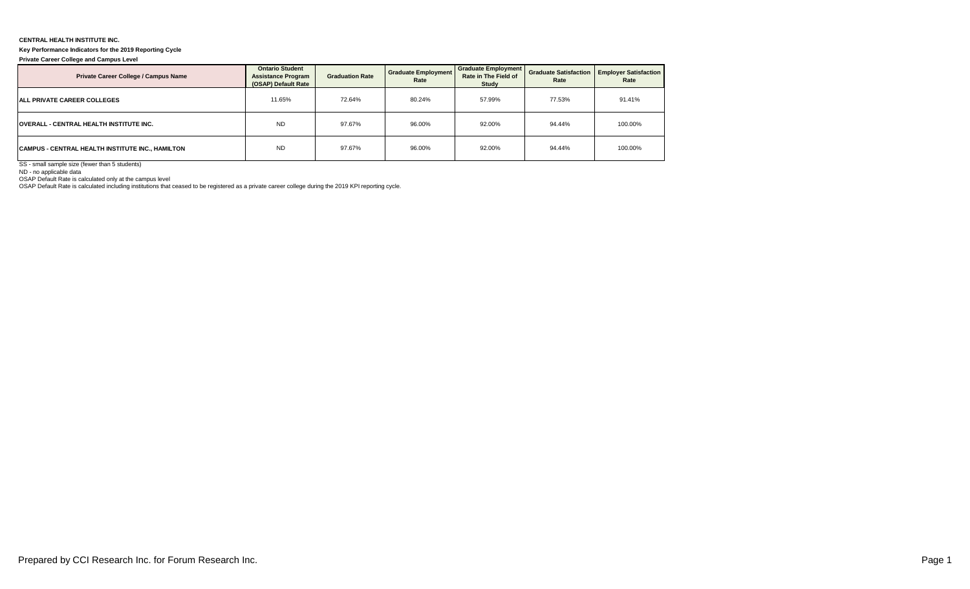## **CENTRAL HEALTH INSTITUTE INC.**

## **Key Performance Indicators for the 2019 Reporting Cycle**

**Private Career College and Campus Level**

| Private Career College / Campus Name             | <b>Ontario Student</b><br><b>Assistance Program</b><br>(OSAP) Default Rate | <b>Graduation Rate</b> | <b>Graduate Employment</b><br>Rate | Graduate Employment<br>Rate in The Field of<br>Study | Rate   | <b>Graduate Satisfaction   Employer Satisfaction  </b><br>Rate |  |
|--------------------------------------------------|----------------------------------------------------------------------------|------------------------|------------------------------------|------------------------------------------------------|--------|----------------------------------------------------------------|--|
| <b>ALL PRIVATE CAREER COLLEGES</b>               | 11.65%                                                                     | 72.64%                 | 80.24%                             | 57.99%                                               | 77.53% | 91.41%                                                         |  |
| <b>OVERALL - CENTRAL HEALTH INSTITUTE INC.</b>   | <b>ND</b>                                                                  | 97.67%                 | 96.00%                             | 92.00%                                               | 94.44% | 100.00%                                                        |  |
| CAMPUS - CENTRAL HEALTH INSTITUTE INC., HAMILTON | <b>ND</b>                                                                  | 97.67%                 | 96.00%                             | 92.00%                                               | 94.44% | 100.00%                                                        |  |

SS - small sample size (fewer than 5 students)

ND - no applicable data

OSAP Default Rate is calculated only at the campus level OSAP Default Rate is calculated including institutions that ceased to be registered as a private career college during the 2019 KPI reporting cycle.